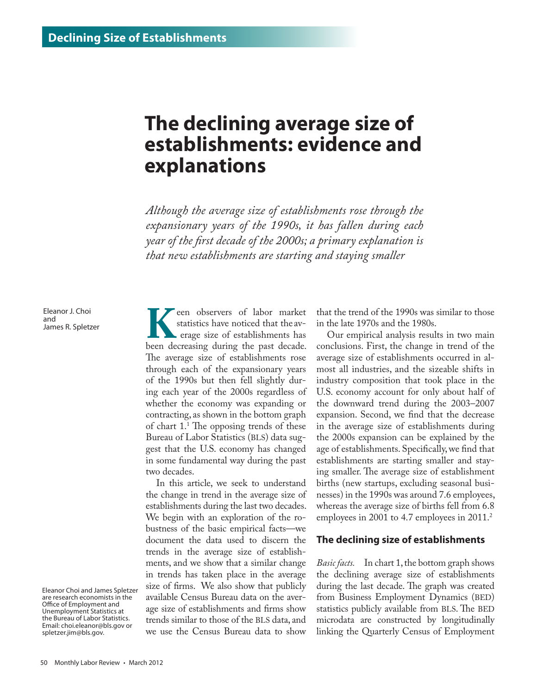## **The declining average size of establishments: evidence and explanations**

*Although the average size of establishments rose through the expansionary years of the 1990s, it has fallen during each year of the first decade of the 2000s; a primary explanation is that new establishments are starting and staying smaller*

Eleanor J. Choi and James R. Spletzer

**K**een observers of labor market statistics have noticed that the average size of establishments has been decreasing during the past decade. statistics have noticed that the av erage size of establishments has The average size of establishments rose through each of the expansionary years of the 1990s but then fell slightly during each year of the 2000s regardless of whether the economy was expanding or contracting, as shown in the bottom graph of chart 1.1 The opposing trends of these Bureau of Labor Statistics (BLS) data suggest that the U.S. economy has changed in some fundamental way during the past two decades.

In this article, we seek to understand the change in trend in the average size of establishments during the last two decades. We begin with an exploration of the robustness of the basic empirical facts—we document the data used to discern the trends in the average size of establishments, and we show that a similar change in trends has taken place in the average size of firms. We also show that publicly available Census Bureau data on the average size of establishments and firms show trends similar to those of the BLS data, and we use the Census Bureau data to show

that the trend of the 1990s was similar to those in the late 1970s and the 1980s.

Our empirical analysis results in two main conclusions. First, the change in trend of the average size of establishments occurred in almost all industries, and the sizeable shifts in industry composition that took place in the U.S. economy account for only about half of the downward trend during the 2003–2007 expansion. Second, we find that the decrease in the average size of establishments during the 2000s expansion can be explained by the age of establishments. Specifically, we find that establishments are starting smaller and staying smaller. The average size of establishment births (new startups, excluding seasonal businesses) in the 1990s was around 7.6 employees, whereas the average size of births fell from 6.8 employees in 2001 to 4.7 employees in 2011.<sup>2</sup>

## **The declining size of establishments**

*Basic facts.* In chart 1, the bottom graph shows the declining average size of establishments during the last decade. The graph was created from Business Employment Dynamics (BED) statistics publicly available from BLS. The BED microdata are constructed by longitudinally linking the Quarterly Census of Employment

Eleanor Choi and James Spletzer are research economists in the Office of Employment and Unemployment Statistics at the Bureau of Labor Statistics. Email: [choi.eleanor@bls.gov](mailto:choi.eleanor%40bls.gov?subject=) or [spletzer.jim@bls.gov](mailto:spletzer.jim%40bls.gov?subject=).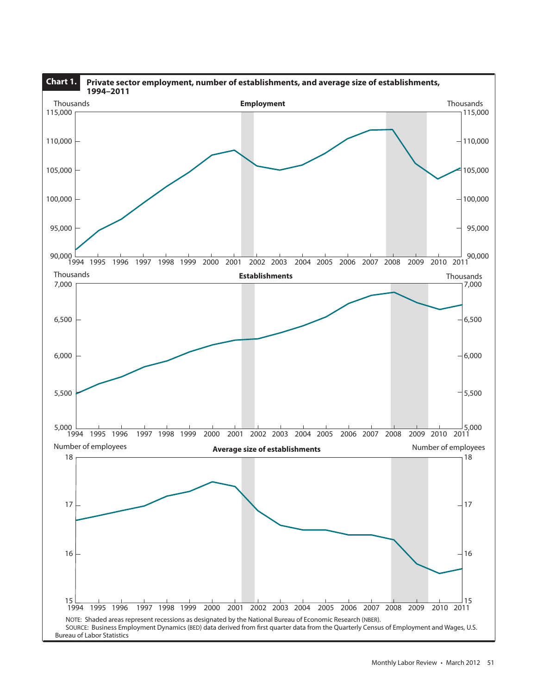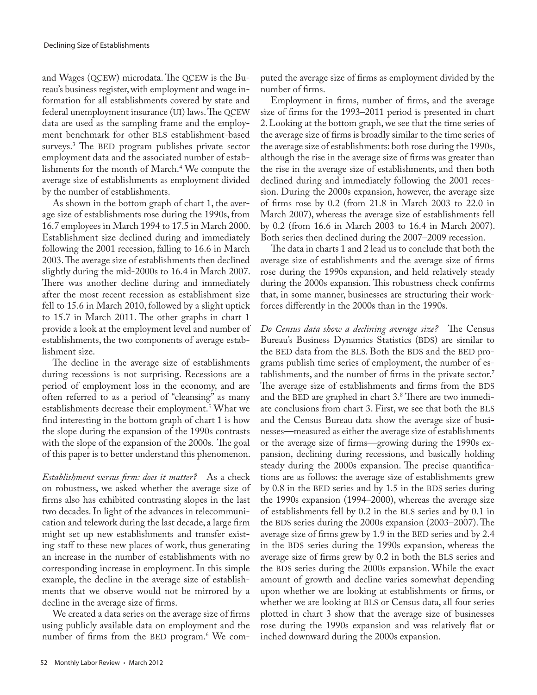and Wages (QCEW) microdata. The QCEW is the Bureau's business register, with employment and wage information for all establishments covered by state and federal unemployment insurance (UI) laws. The QCEW data are used as the sampling frame and the employment benchmark for other BLS establishment-based surveys.3 The BED program publishes private sector employment data and the associated number of establishments for the month of March.4 We compute the average size of establishments as employment divided by the number of establishments.

As shown in the bottom graph of chart 1, the average size of establishments rose during the 1990s, from 16.7 employees in March 1994 to 17.5 in March 2000. Establishment size declined during and immediately following the 2001 recession, falling to 16.6 in March 2003. The average size of establishments then declined slightly during the mid-2000s to 16.4 in March 2007. There was another decline during and immediately after the most recent recession as establishment size fell to 15.6 in March 2010, followed by a slight uptick to 15.7 in March 2011. The other graphs in chart 1 provide a look at the employment level and number of establishments, the two components of average establishment size.

The decline in the average size of establishments during recessions is not surprising. Recessions are a period of employment loss in the economy, and are often referred to as a period of "cleansing" as many establishments decrease their employment.<sup>5</sup> What we find interesting in the bottom graph of chart 1 is how the slope during the expansion of the 1990s contrasts with the slope of the expansion of the 2000s. The goal of this paper is to better understand this phenomenon.

*Establishment versus firm: does it matter?* As a check on robustness, we asked whether the average size of firms also has exhibited contrasting slopes in the last two decades. In light of the advances in telecommunication and telework during the last decade, a large firm might set up new establishments and transfer existing staff to these new places of work, thus generating an increase in the number of establishments with no corresponding increase in employment. In this simple example, the decline in the average size of establishments that we observe would not be mirrored by a decline in the average size of firms.

We created a data series on the average size of firms using publicly available data on employment and the number of firms from the BED program.<sup>6</sup> We com-

52 Monthly Labor Review • March 2012

puted the average size of firms as employment divided by the number of firms.

Employment in firms, number of firms, and the average size of firms for the 1993–2011 period is presented in chart 2. Looking at the bottom graph, we see that the time series of the average size of firms is broadly similar to the time series of the average size of establishments: both rose during the 1990s, although the rise in the average size of firms was greater than the rise in the average size of establishments, and then both declined during and immediately following the 2001 recession. During the 2000s expansion, however, the average size of firms rose by 0.2 (from 21.8 in March 2003 to 22.0 in March 2007), whereas the average size of establishments fell by 0.2 (from 16.6 in March 2003 to 16.4 in March 2007). Both series then declined during the 2007–2009 recession.

The data in charts 1 and 2 lead us to conclude that both the average size of establishments and the average size of firms rose during the 1990s expansion, and held relatively steady during the 2000s expansion. This robustness check confirms that, in some manner, businesses are structuring their workforces differently in the 2000s than in the 1990s.

*Do Census data show a declining average size?* The Census Bureau's Business Dynamics Statistics (BDS) are similar to the BED data from the BLS. Both the BDS and the BED programs publish time series of employment, the number of establishments, and the number of firms in the private sector.7 The average size of establishments and firms from the BDS and the BED are graphed in chart 3.8 There are two immediate conclusions from chart 3. First, we see that both the BLS and the Census Bureau data show the average size of businesses—measured as either the average size of establishments or the average size of firms—growing during the 1990s expansion, declining during recessions, and basically holding steady during the 2000s expansion. The precise quantifications are as follows: the average size of establishments grew by 0.8 in the BED series and by 1.5 in the BDS series during the 1990s expansion (1994–2000), whereas the average size of establishments fell by 0.2 in the BLS series and by 0.1 in the BDS series during the 2000s expansion (2003–2007). The average size of firms grew by 1.9 in the BED series and by 2.4 in the BDS series during the 1990s expansion, whereas the average size of firms grew by 0.2 in both the BLS series and the BDS series during the 2000s expansion. While the exact amount of growth and decline varies somewhat depending upon whether we are looking at establishments or firms, or whether we are looking at BLS or Census data, all four series plotted in chart 3 show that the average size of businesses rose during the 1990s expansion and was relatively flat or inched downward during the 2000s expansion.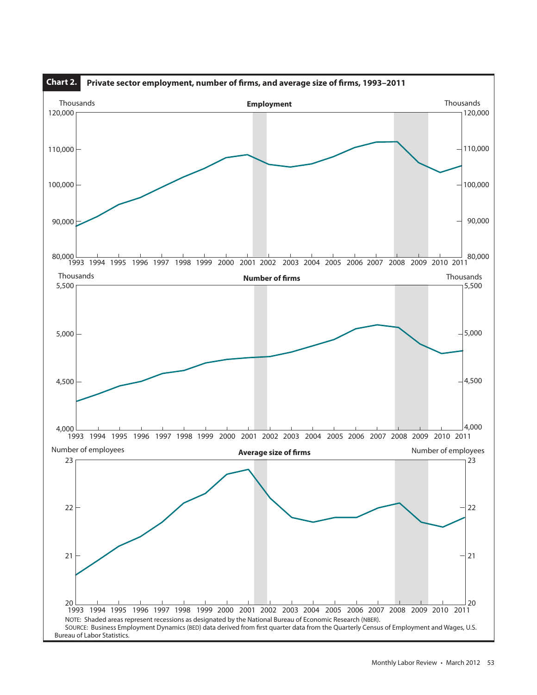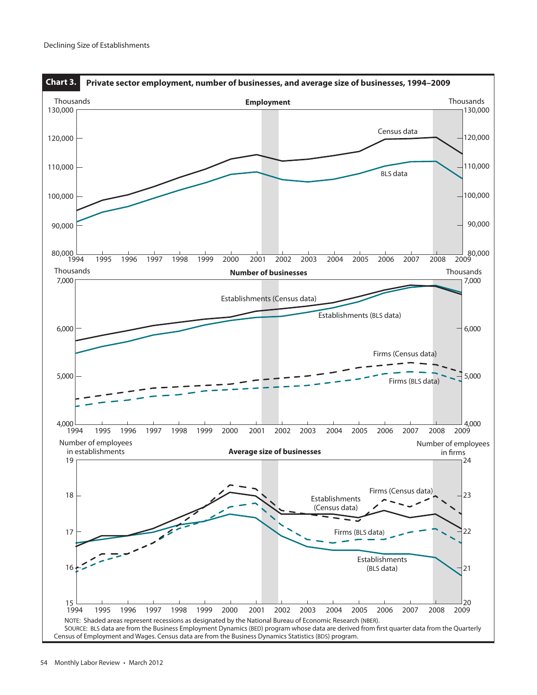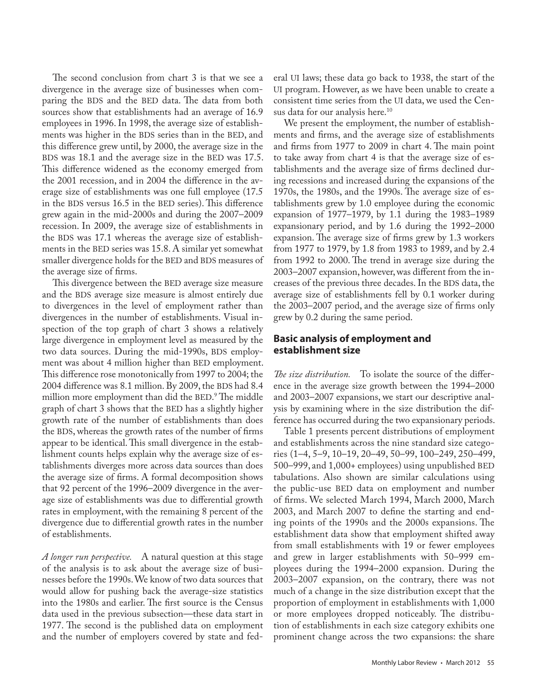The second conclusion from chart 3 is that we see a divergence in the average size of businesses when comparing the BDS and the BED data. The data from both sources show that establishments had an average of 16.9 employees in 1996. In 1998, the average size of establishments was higher in the BDS series than in the BED, and this difference grew until, by 2000, the average size in the BDS was 18.1 and the average size in the BED was 17.5. This difference widened as the economy emerged from the 2001 recession, and in 2004 the difference in the average size of establishments was one full employee (17.5 in the BDS versus 16.5 in the BED series). This difference grew again in the mid-2000s and during the 2007–2009 recession. In 2009, the average size of establishments in the BDS was 17.1 whereas the average size of establishments in the BED series was 15.8. A similar yet somewhat smaller divergence holds for the BED and BDS measures of the average size of firms.

This divergence between the BED average size measure and the BDS average size measure is almost entirely due to divergences in the level of employment rather than divergences in the number of establishments. Visual inspection of the top graph of chart 3 shows a relatively large divergence in employment level as measured by the two data sources. During the mid-1990s, BDS employment was about 4 million higher than BED employment. This difference rose monotonically from 1997 to 2004; the 2004 difference was 8.1 million. By 2009, the BDS had 8.4 million more employment than did the BED. 9 The middle graph of chart 3 shows that the BED has a slightly higher growth rate of the number of establishments than does the BDS, whereas the growth rates of the number of firms appear to be identical. This small divergence in the establishment counts helps explain why the average size of establishments diverges more across data sources than does the average size of firms. A formal decomposition shows that 92 percent of the 1996–2009 divergence in the average size of establishments was due to differential growth rates in employment, with the remaining 8 percent of the divergence due to differential growth rates in the number of establishments.

*A longer run perspective.* A natural question at this stage of the analysis is to ask about the average size of businesses before the 1990s. We know of two data sources that would allow for pushing back the average-size statistics into the 1980s and earlier. The first source is the Census data used in the previous subsection—these data start in 1977. The second is the published data on employment and the number of employers covered by state and federal UI laws; these data go back to 1938, the start of the UI program. However, as we have been unable to create a consistent time series from the UI data, we used the Census data for our analysis here.<sup>10</sup>

We present the employment, the number of establishments and firms, and the average size of establishments and firms from 1977 to 2009 in chart 4. The main point to take away from chart 4 is that the average size of establishments and the average size of firms declined during recessions and increased during the expansions of the 1970s, the 1980s, and the 1990s. The average size of establishments grew by 1.0 employee during the economic expansion of 1977–1979, by 1.1 during the 1983–1989 expansionary period, and by 1.6 during the 1992–2000 expansion. The average size of firms grew by 1.3 workers from 1977 to 1979, by 1.8 from 1983 to 1989, and by 2.4 from 1992 to 2000. The trend in average size during the 2003–2007 expansion, however, was different from the increases of the previous three decades. In the BDS data, the average size of establishments fell by 0.1 worker during the 2003–2007 period, and the average size of firms only grew by 0.2 during the same period.

## **Basic analysis of employment and establishment size**

*The size distribution.* To isolate the source of the difference in the average size growth between the 1994–2000 and 2003–2007 expansions, we start our descriptive analysis by examining where in the size distribution the difference has occurred during the two expansionary periods.

Table 1 presents percent distributions of employment and establishments across the nine standard size categories (1–4, 5–9, 10–19, 20–49, 50–99, 100–249, 250–499, 500–999, and 1,000+ employees) using unpublished BED tabulations. Also shown are similar calculations using the public-use BED data on employment and number of firms. We selected March 1994, March 2000, March 2003, and March 2007 to define the starting and ending points of the 1990s and the 2000s expansions. The establishment data show that employment shifted away from small establishments with 19 or fewer employees and grew in larger establishments with 50–999 employees during the 1994–2000 expansion. During the 2003–2007 expansion, on the contrary, there was not much of a change in the size distribution except that the proportion of employment in establishments with 1,000 or more employees dropped noticeably. The distribution of establishments in each size category exhibits one prominent change across the two expansions: the share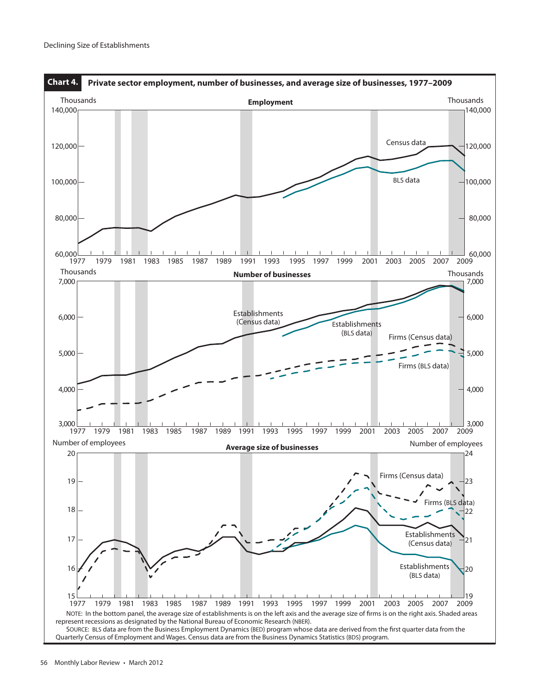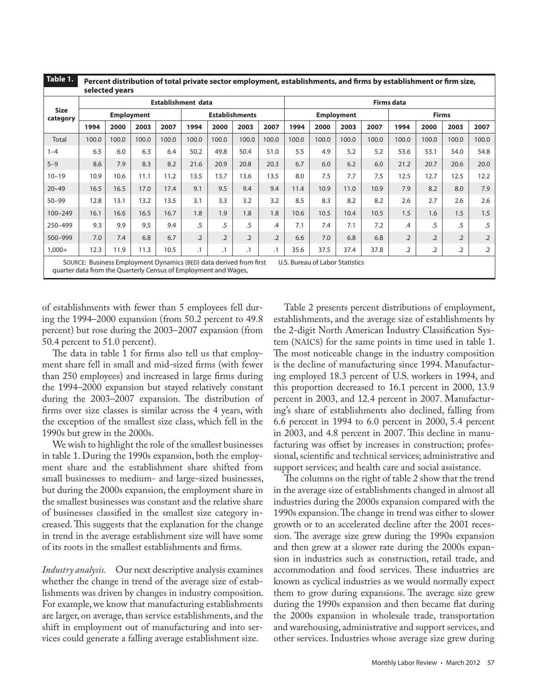| Table 1.                                                        |                                                                    | selected years | Percent distribution of total private sector employment, establishments, and firms by establishment or firm size, |       |                           |                |                       |                 |                   |                                 |                   |       |                 |              |                |            |
|-----------------------------------------------------------------|--------------------------------------------------------------------|----------------|-------------------------------------------------------------------------------------------------------------------|-------|---------------------------|----------------|-----------------------|-----------------|-------------------|---------------------------------|-------------------|-------|-----------------|--------------|----------------|------------|
|                                                                 |                                                                    |                |                                                                                                                   |       | <b>Establishment data</b> |                |                       |                 | <b>Firms data</b> |                                 |                   |       |                 |              |                |            |
| <b>Size</b><br>category                                         |                                                                    |                | <b>Employment</b>                                                                                                 |       |                           |                | <b>Establishments</b> |                 |                   |                                 | <b>Employment</b> |       |                 | <b>Firms</b> |                |            |
|                                                                 | 1994                                                               | 2000           | 2003                                                                                                              | 2007  | 1994                      | 2000           | 2003                  | 2007            | 1994              | 2000                            | 2003              | 2007  | 1994            | 2000         | 2003           | 2007       |
| Total                                                           | 100.0                                                              | 100.0          | 100.0                                                                                                             | 100.0 | 100.0                     | 100.0          | 100.0                 | 100.0           | 100.0             | 100.0                           | 100.0             | 100.0 | 100.0           | 100.0        | 100.0          | 100.0      |
| $1 - 4$                                                         | 6.5                                                                | 6.0            | 6.3                                                                                                               | 6.4   | 50.2                      | 49.8           | 50.4                  | 51.0            | 5.5               | 4.9                             | 5.2               | 5.2   | 53.6            | 53.1         | 54.0           | 54.8       |
| $5 - 9$                                                         | 8.6                                                                | 7.9            | 8.3                                                                                                               | 8.2   | 21.6                      | 20.9           | 20.8                  | 20.3            | 6.7               | 6.0                             | 6.2               | 6.0   | 21.2            | 20.7         | 20.6           | 20.0       |
| $10 - 19$                                                       | 10.9                                                               | 10.6           | 11.1                                                                                                              | 11.2  | 13.5                      | 13.7           | 13.6                  | 13.5            | 8.0               | 7.5                             | 7.7               | 7.5   | 12.5            | 12.7         | 12.5           | 12.2       |
| $20 - 49$                                                       | 16.5                                                               | 16.5           | 17.0                                                                                                              | 17.4  | 9.1                       | 9.5            | 9.4                   | 9.4             | 11.4              | 10.9                            | 11.0              | 10.9  | 7.9             | 8.2          | 8.0            | 7.9        |
| $50 - 99$                                                       | 12.8                                                               | 13.1           | 13.2                                                                                                              | 13.5  | 3.1                       | 3.3            | 3.2                   | 3.2             | 8.5               | 8.3                             | 8.2               | 8.2   | 2.6             | 2.7          | 2.6            | 2.6        |
| $100 - 249$                                                     | 16.1                                                               | 16.6           | 16.5                                                                                                              | 16.7  | 1.8                       | 1.9            | 1.8                   | 1.8             | 10.6              | 10.5                            | 10.4              | 10.5  | 1.5             | 1.6          | 1.5            | 1.5        |
| 250-499                                                         | 9.3                                                                | 9.9            | 9.5                                                                                                               | 9.4   | .5                        | .5             | .5                    | .4              | 7.1               | 7.4                             | 7.1               | 7.2   | .4              | .5           | .5             | .5         |
| 500-999                                                         | 7.0                                                                | 7.4            | 6.8                                                                                                               | 6.7   | $\overline{2}$            | $\overline{2}$ | $\overline{2}$        | $\overline{.2}$ | 6.6               | 7.0                             | 6.8               | 6.8   | $\overline{.2}$ | $\cdot$ .2   | $\overline{2}$ | $\cdot$ .2 |
| $1,000+$                                                        | 12.3                                                               | 11.9           | 11.3                                                                                                              | 10.5  | $\cdot$ 1                 | $\cdot$ 1      | $\cdot$ 1             | $\cdot$ 1       | 35.6              | 37.5                            | 37.4              | 37.8  | .2              | .2           | .2             | .2         |
| guarter data from the Quarterly Census of Employment and Wages, | SOURCE: Business Employment Dynamics (BED) data derived from first |                |                                                                                                                   |       |                           |                |                       |                 |                   | U.S. Bureau of Labor Statistics |                   |       |                 |              |                |            |

of establishments with fewer than 5 employees fell during the 1994–2000 expansion (from 50.2 percent to 49.8 percent) but rose during the 2003–2007 expansion (from 50.4 percent to 51.0 percent).

The data in table 1 for firms also tell us that employment share fell in small and mid-sized firms (with fewer than 250 employees) and increased in large firms during the 1994–2000 expansion but stayed relatively constant during the 2003–2007 expansion. The distribution of firms over size classes is similar across the 4 years, with the exception of the smallest size class, which fell in the 1990s but grew in the 2000s.

We wish to highlight the role of the smallest businesses in table 1. During the 1990s expansion, both the employment share and the establishment share shifted from small businesses to medium- and large-sized businesses, but during the 2000s expansion, the employment share in the smallest businesses was constant and the relative share of businesses classified in the smallest size category increased. This suggests that the explanation for the change in trend in the average establishment size will have some of its roots in the smallest establishments and firms.

*Industry analysis.* Our next descriptive analysis examines whether the change in trend of the average size of establishments was driven by changes in industry composition. For example, we know that manufacturing establishments are larger, on average, than service establishments, and the shift in employment out of manufacturing and into services could generate a falling average establishment size.

Table 2 presents percent distributions of employment, establishments, and the average size of establishments by the 2-digit North American Industry Classification System (NAICS) for the same points in time used in table 1. The most noticeable change in the industry composition is the decline of manufacturing since 1994. Manufacturing employed 18.3 percent of U.S. workers in 1994, and this proportion decreased to 16.1 percent in 2000, 13.9 percent in 2003, and 12.4 percent in 2007. Manufacturing's share of establishments also declined, falling from 6.6 percent in 1994 to 6.0 percent in 2000, 5.4 percent in 2003, and 4.8 percent in 2007. This decline in manufacturing was offset by increases in construction; professional, scientific and technical services; administrative and support services; and health care and social assistance.

The columns on the right of table 2 show that the trend in the average size of establishments changed in almost all industries during the 2000s expansion compared with the 1990s expansion. The change in trend was either to slower growth or to an accelerated decline after the 2001 recession. The average size grew during the 1990s expansion and then grew at a slower rate during the 2000s expansion in industries such as construction, retail trade, and accommodation and food services. These industries are known as cyclical industries as we would normally expect them to grow during expansions. The average size grew during the 1990s expansion and then became flat during the 2000s expansion in wholesale trade, transportation and warehousing, administrative and support services, and other services. Industries whose average size grew during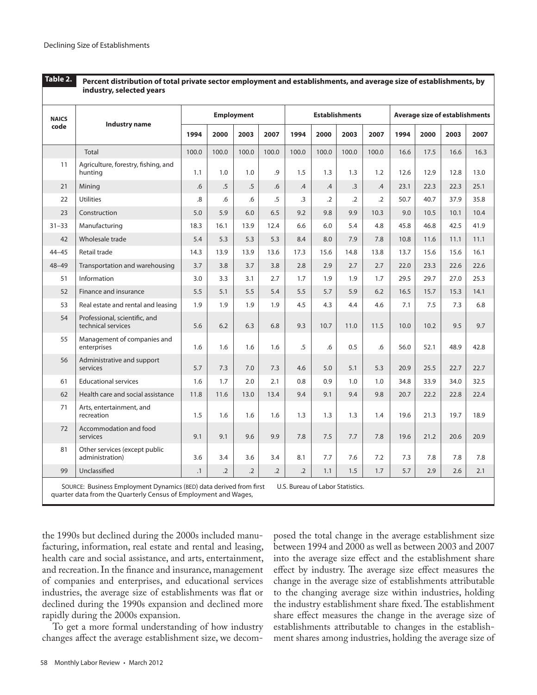|              | industry, selected years                            |           |            |                   |            |                 |            |                       |               |      |                                       |      |      |
|--------------|-----------------------------------------------------|-----------|------------|-------------------|------------|-----------------|------------|-----------------------|---------------|------|---------------------------------------|------|------|
| <b>NAICS</b> |                                                     |           |            | <b>Employment</b> |            |                 |            | <b>Establishments</b> |               |      | <b>Average size of establishments</b> |      |      |
| code         | Industry name                                       | 1994      | 2000       | 2003              | 2007       | 1994            | 2000       | 2003                  | 2007          | 1994 | 2000                                  | 2003 | 2007 |
|              | <b>Total</b>                                        | 100.0     | 100.0      | 100.0             | 100.0      | 100.0           | 100.0      | 100.0                 | 100.0         | 16.6 | 17.5                                  | 16.6 | 16.3 |
| 11           | Agriculture, forestry, fishing, and<br>huntina      | 1.1       | 1.0        | 1.0               | .9         | 1.5             | 1.3        | 1.3                   | 1.2           | 12.6 | 12.9                                  | 12.8 | 13.0 |
| 21           | Mining                                              | .6        | $.5\,$     | $.5\,$            | .6         | $.4\phantom{0}$ | .4         | $\cdot$ 3             | $\mathcal{A}$ | 23.1 | 22.3                                  | 22.3 | 25.1 |
| 22           | <b>Utilities</b>                                    | 8.        | .6         | .6                | .5         | $\cdot$ 3       | $\cdot$ .2 | $\cdot$ .2            | $\cdot$ .2    | 50.7 | 40.7                                  | 37.9 | 35.8 |
| 23           | Construction                                        | 5.0       | 5.9        | 6.0               | 6.5        | 9.2             | 9.8        | 9.9                   | 10.3          | 9.0  | 10.5                                  | 10.1 | 10.4 |
| $31 - 33$    | Manufacturing                                       | 18.3      | 16.1       | 13.9              | 12.4       | 6.6             | 6.0        | 5.4                   | 4.8           | 45.8 | 46.8                                  | 42.5 | 41.9 |
| 42           | Wholesale trade                                     | 5.4       | 5.3        | 5.3               | 5.3        | 8.4             | 8.0        | 7.9                   | 7.8           | 10.8 | 11.6                                  | 11.1 | 11.1 |
| $44 - 45$    | <b>Retail trade</b>                                 | 14.3      | 13.9       | 13.9              | 13.6       | 17.3            | 15.6       | 14.8                  | 13.8          | 13.7 | 15.6                                  | 15.6 | 16.1 |
| $48 - 49$    | Transportation and warehousing                      | 3.7       | 3.8        | 3.7               | 3.8        | 2.8             | 2.9        | 2.7                   | 2.7           | 22.0 | 23.3                                  | 22.6 | 22.6 |
| 51           | Information                                         | 3.0       | 3.3        | 3.1               | 2.7        | 1.7             | 1.9        | 1.9                   | 1.7           | 29.5 | 29.7                                  | 27.0 | 25.3 |
| 52           | Finance and insurance                               | 5.5       | 5.1        | 5.5               | 5.4        | 5.5             | 5.7        | 5.9                   | 6.2           | 16.5 | 15.7                                  | 15.3 | 14.1 |
| 53           | Real estate and rental and leasing                  | 1.9       | 1.9        | 1.9               | 1.9        | 4.5             | 4.3        | 4.4                   | 4.6           | 7.1  | 7.5                                   | 7.3  | 6.8  |
| 54           | Professional, scientific, and<br>technical services | 5.6       | 6.2        | 6.3               | 6.8        | 9.3             | 10.7       | 11.0                  | 11.5          | 10.0 | 10.2                                  | 9.5  | 9.7  |
| 55           | Management of companies and<br>enterprises          | 1.6       | 1.6        | 1.6               | 1.6        | .5              | .6         | 0.5                   | .6            | 56.0 | 52.1                                  | 48.9 | 42.8 |
| 56           | Administrative and support<br>services              | 5.7       | 7.3        | 7.0               | 7.3        | 4.6             | 5.0        | 5.1                   | 5.3           | 20.9 | 25.5                                  | 22.7 | 22.7 |
| 61           | <b>Educational services</b>                         | 1.6       | 1.7        | 2.0               | 2.1        | 0.8             | 0.9        | 1.0                   | 1.0           | 34.8 | 33.9                                  | 34.0 | 32.5 |
| 62           | Health care and social assistance                   | 11.8      | 11.6       | 13.0              | 13.4       | 9.4             | 9.1        | 9.4                   | 9.8           | 20.7 | 22.2                                  | 22.8 | 22.4 |
| 71           | Arts, entertainment, and<br>recreation              | 1.5       | 1.6        | 1.6               | 1.6        | 1.3             | 1.3        | 1.3                   | 1.4           | 19.6 | 21.3                                  | 19.7 | 18.9 |
| 72           | Accommodation and food<br>services                  | 9.1       | 9.1        | 9.6               | 9.9        | 7.8             | 7.5        | 7.7                   | 7.8           | 19.6 | 21.2                                  | 20.6 | 20.9 |
| 81           | Other services (except public<br>administration)    | 3.6       | 3.4        | 3.6               | 3.4        | 8.1             | 7.7        | 7.6                   | 7.2           | 7.3  | 7.8                                   | 7.8  | 7.8  |
| 99           | Unclassified                                        | $\cdot$ 1 | $\cdot$ .2 | $\cdot$ .2        | $\cdot$ .2 | $\overline{.2}$ | 1.1        | 1.5                   | 1.7           | 5.7  | 2.9                                   | 2.6  | 2.1  |

**Percent distribution of total private sector employment and establishments, and average size of establishments, by Table 2.**

SOURCE: Business Employment Dynamics (BED) data derived from first quarter data from the Quarterly Census of Employment and Wages, U.S. Bureau of Labor Statistics.

the 1990s but declined during the 2000s included manufacturing, information, real estate and rental and leasing, health care and social assistance, and arts, entertainment, and recreation. In the finance and insurance, management of companies and enterprises, and educational services industries, the average size of establishments was flat or declined during the 1990s expansion and declined more rapidly during the 2000s expansion.

To get a more formal understanding of how industry changes affect the average establishment size, we decom-

posed the total change in the average establishment size between 1994 and 2000 as well as between 2003 and 2007 into the average size effect and the establishment share effect by industry. The average size effect measures the change in the average size of establishments attributable to the changing average size within industries, holding the industry establishment share fixed. The establishment share effect measures the change in the average size of establishments attributable to changes in the establishment shares among industries, holding the average size of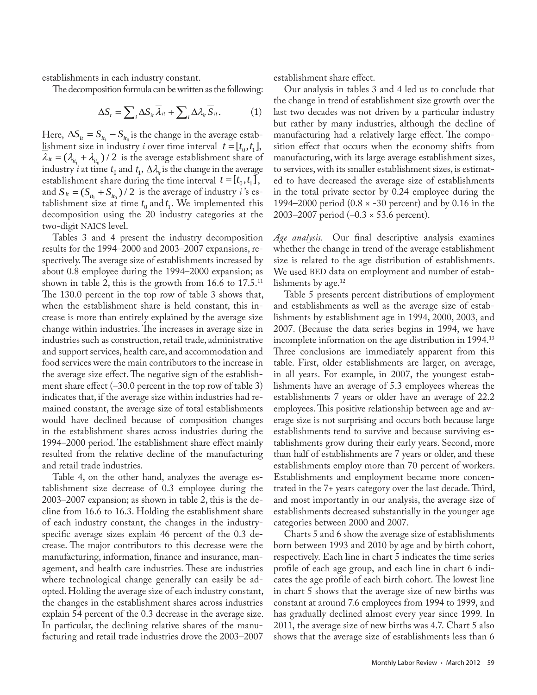establishments in each industry constant.

The decomposition formula can be written as the following:

$$
\Delta S_t = \sum_i \Delta S_{it} \overline{\lambda}_{it} + \sum_i \Delta \lambda_{it} \overline{S}_{it}.
$$
 (1)

Here,  $\Delta S_{it} = S_{it_1} - S_{it_0}$  is the change in the average establishment size in industry *i* over time interval  $t = [t_0, t_1]$ ,  $\lambda_{it} = (\lambda_{it_1} + \lambda_{it_0})/2$  is the average establishment share of industry *i* at time  $t_0$  and  $t_1$ ,  $\Delta \lambda_i$  is the change in the average establishment share during the time interval  $t = [t_0, t_1]$ , and  $S_{it} = (S_{it_1} + S_{it_0})/2$  is the average of industry *i*'s establishment size at time  $t_0$  and  $t_1$ . We implemented this decomposition using the 20 industry categories at the two-digit NAICS level.

Tables 3 and 4 present the industry decomposition results for the 1994–2000 and 2003–2007 expansions, respectively. The average size of establishments increased by about 0.8 employee during the 1994–2000 expansion; as shown in table 2, this is the growth from 16.6 to  $17.5$ <sup>11</sup> The 130.0 percent in the top row of table 3 shows that, when the establishment share is held constant, this increase is more than entirely explained by the average size change within industries. The increases in average size in industries such as construction, retail trade, administrative and support services, health care, and accommodation and food services were the main contributors to the increase in the average size effect. The negative sign of the establishment share effect  $(-30.0)$  percent in the top row of table 3) indicates that, if the average size within industries had remained constant, the average size of total establishments would have declined because of composition changes in the establishment shares across industries during the 1994–2000 period. The establishment share effect mainly resulted from the relative decline of the manufacturing and retail trade industries.

Table 4, on the other hand, analyzes the average establishment size decrease of 0.3 employee during the 2003–2007 expansion; as shown in table 2, this is the decline from 16.6 to 16.3. Holding the establishment share of each industry constant, the changes in the industryspecific average sizes explain 46 percent of the 0.3 decrease. The major contributors to this decrease were the manufacturing, information, finance and insurance, management, and health care industries. These are industries where technological change generally can easily be adopted. Holding the average size of each industry constant, the changes in the establishment shares across industries explain 54 percent of the 0.3 decrease in the average size. In particular, the declining relative shares of the manufacturing and retail trade industries drove the 2003–2007

establishment share effect.

Our analysis in tables 3 and 4 led us to conclude that the change in trend of establishment size growth over the last two decades was not driven by a particular industry but rather by many industries, although the decline of manufacturing had a relatively large effect. The composition effect that occurs when the economy shifts from manufacturing, with its large average establishment sizes, to services, with its smaller establishment sizes, is estimated to have decreased the average size of establishments in the total private sector by 0.24 employee during the 1994–2000 period  $(0.8 \times -30)$  percent) and by 0.16 in the 2003–2007 period (–0.3 × 53.6 percent).

*Age analysis.* Our final descriptive analysis examines whether the change in trend of the average establishment size is related to the age distribution of establishments. We used BED data on employment and number of establishments by age. $12$ 

Table 5 presents percent distributions of employment and establishments as well as the average size of establishments by establishment age in 1994, 2000, 2003, and 2007. (Because the data series begins in 1994, we have incomplete information on the age distribution in 1994.13 Three conclusions are immediately apparent from this table. First, older establishments are larger, on average, in all years. For example, in 2007, the youngest establishments have an average of 5.3 employees whereas the establishments 7 years or older have an average of 22.2 employees. This positive relationship between age and average size is not surprising and occurs both because large establishments tend to survive and because surviving establishments grow during their early years. Second, more than half of establishments are 7 years or older, and these establishments employ more than 70 percent of workers. Establishments and employment became more concentrated in the 7+ years category over the last decade. Third, and most importantly in our analysis, the average size of establishments decreased substantially in the younger age categories between 2000 and 2007.

Charts 5 and 6 show the average size of establishments born between 1993 and 2010 by age and by birth cohort, respectively. Each line in chart 5 indicates the time series profile of each age group, and each line in chart 6 indicates the age profile of each birth cohort. The lowest line in chart 5 shows that the average size of new births was constant at around 7.6 employees from 1994 to 1999, and has gradually declined almost every year since 1999. In 2011, the average size of new births was 4.7. Chart 5 also shows that the average size of establishments less than 6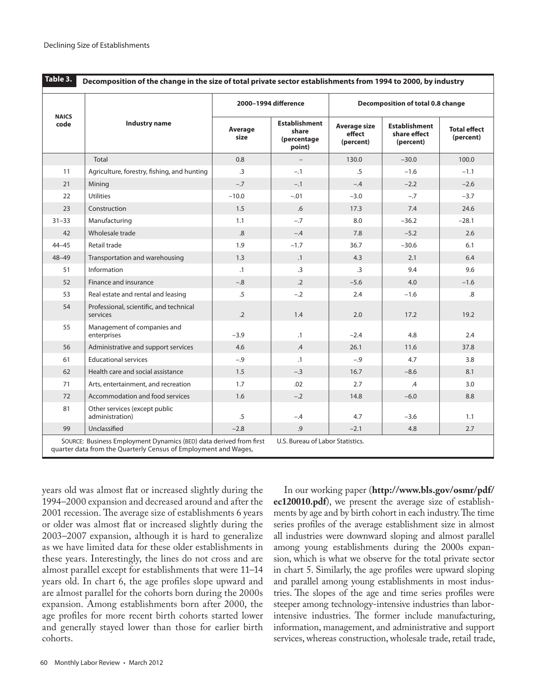|                      |                                                     |                 | 2000-1994 difference                                   | Decomposition of total 0.8 change          |                                                   |                                  |  |  |
|----------------------|-----------------------------------------------------|-----------------|--------------------------------------------------------|--------------------------------------------|---------------------------------------------------|----------------------------------|--|--|
| <b>NAICS</b><br>code | <b>Industry name</b>                                | Average<br>size | <b>Establishment</b><br>share<br>(percentage<br>point) | <b>Average size</b><br>effect<br>(percent) | <b>Establishment</b><br>share effect<br>(percent) | <b>Total effect</b><br>(percent) |  |  |
|                      | <b>Total</b>                                        | 0.8             | $\overline{\phantom{a}}$                               | 130.0                                      | $-30.0$                                           | 100.0                            |  |  |
| 11                   | Agriculture, forestry, fishing, and hunting         | $\cdot$ 3       | $-.1$                                                  | $.5\,$                                     | $-1.6$                                            | $-1.1$                           |  |  |
| 21                   | Mining                                              | $-.7$           | $-.1$                                                  | $-.4$                                      | $-2.2$                                            | $-2.6$                           |  |  |
| 22                   | <b>Utilities</b>                                    | $-10.0$         | $-.01$                                                 | $-3.0$                                     | $-.7$                                             | $-3.7$                           |  |  |
| 23                   | Construction                                        | 1.5             | .6                                                     | 17.3                                       | 7.4                                               | 24.6                             |  |  |
| $31 - 33$            | Manufacturing                                       | 1.1             | $-.7$                                                  | 8.0                                        | $-36.2$                                           | $-28.1$                          |  |  |
| 42                   | Wholesale trade                                     | .8              | $-.4$                                                  | 7.8                                        | $-5.2$                                            | 2.6                              |  |  |
| $44 - 45$            | Retail trade                                        | 1.9             | $-1.7$                                                 | 36.7                                       | $-30.6$                                           | 6.1                              |  |  |
| $48 - 49$            | Transportation and warehousing                      | 1.3             | $\cdot$ 1                                              | 4.3                                        | 2.1                                               | 6.4                              |  |  |
| 51                   | Information                                         | $\cdot$ 1       | $\cdot$ 3                                              | $\cdot$ 3                                  | 9.4                                               | 9.6                              |  |  |
| 52                   | Finance and insurance                               | $-.8$           | $\cdot$ .2                                             | $-5.6$                                     | 4.0                                               | $-1.6$                           |  |  |
| 53                   | Real estate and rental and leasing                  | .5              | $-.2$                                                  | 2.4                                        | $-1.6$                                            | .8                               |  |  |
| 54                   | Professional, scientific, and technical<br>services | $\cdot$ .2      | 1.4                                                    | 2.0                                        | 17.2                                              | 19.2                             |  |  |
| 55                   | Management of companies and<br>enterprises          | $-3.9$          | $\cdot$ 1                                              | $-2.4$                                     | 4.8                                               | 2.4                              |  |  |
| 56                   | Administrative and support services                 | 4.6             | .4                                                     | 26.1                                       | 11.6                                              | 37.8                             |  |  |
| 61                   | <b>Educational services</b>                         | $-.9$           | $\cdot$ 1                                              | $-.9$                                      | 4.7                                               | 3.8                              |  |  |
| 62                   | Health care and social assistance                   | 1.5             | $-.3$                                                  | 16.7                                       | $-8.6$                                            | 8.1                              |  |  |
| 71                   | Arts, entertainment, and recreation                 | 1.7             | .02                                                    | 2.7                                        | .4                                                | 3.0                              |  |  |
| 72                   | Accommodation and food services                     | 1.6             | $-.2$                                                  | 14.8                                       | $-6.0$                                            | 8.8                              |  |  |
| 81                   | Other services (except public<br>administration)    | $.5\,$          | $-.4$                                                  | 4.7                                        | $-3.6$                                            | 1.1                              |  |  |
| 99                   | Unclassified                                        | $-2.8$          | .9                                                     | $-2.1$                                     | 4.8                                               | 2.7                              |  |  |

years old was almost flat or increased slightly during the 1994–2000 expansion and decreased around and after the 2001 recession. The average size of establishments 6 years or older was almost flat or increased slightly during the 2003–2007 expansion, although it is hard to generalize as we have limited data for these older establishments in these years. Interestingly, the lines do not cross and are almost parallel except for establishments that were 11–14 years old. In chart 6, the age profiles slope upward and are almost parallel for the cohorts born during the 2000s expansion. Among establishments born after 2000, the age profiles for more recent birth cohorts started lower and generally stayed lower than those for earlier birth cohorts.

In our working paper (**[http://www.bls.gov/osmr/pdf/](http://www.bls.gov/osmr/pdf/ec120010.pd) [ec120010.pd](http://www.bls.gov/osmr/pdf/ec120010.pd)f**), we present the average size of establishments by age and by birth cohort in each industry. The time series profiles of the average establishment size in almost all industries were downward sloping and almost parallel among young establishments during the 2000s expansion, which is what we observe for the total private sector in chart 5. Similarly, the age profiles were upward sloping and parallel among young establishments in most industries. The slopes of the age and time series profiles were steeper among technology-intensive industries than laborintensive industries. The former include manufacturing, information, management, and administrative and support services, whereas construction, wholesale trade, retail trade,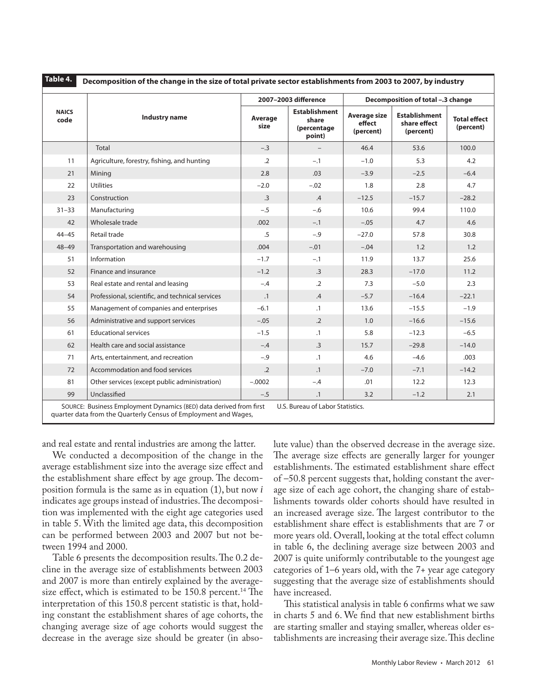|                      |                                                  |                 | 2007-2003 difference                                   | Decomposition of total -.3 change          |                                                   |                                  |  |
|----------------------|--------------------------------------------------|-----------------|--------------------------------------------------------|--------------------------------------------|---------------------------------------------------|----------------------------------|--|
| <b>NAICS</b><br>code | Industry name                                    | Average<br>size | <b>Establishment</b><br>share<br>(percentage<br>point) | <b>Average size</b><br>effect<br>(percent) | <b>Establishment</b><br>share effect<br>(percent) | <b>Total effect</b><br>(percent) |  |
|                      | Total                                            | $-.3$           |                                                        | 46.4                                       | 53.6                                              | 100.0                            |  |
| 11                   | Agriculture, forestry, fishing, and hunting      | $\cdot$ .2      | $-.1$                                                  | $-1.0$                                     | 5.3                                               | 4.2                              |  |
| 21                   | Minina                                           | 2.8             | .03                                                    | $-3.9$                                     | $-2.5$                                            | $-6.4$                           |  |
| 22                   | <b>Utilities</b>                                 | $-2.0$          | $-.02$                                                 | 1.8                                        | 2.8                                               | 4.7                              |  |
| 23                   | Construction                                     | .3              | .4                                                     | $-12.5$                                    | $-15.7$                                           | $-28.2$                          |  |
| $31 - 33$            | Manufacturing                                    | $-.5$           | $-.6$                                                  | 10.6                                       | 99.4                                              | 110.0                            |  |
| 42                   | Wholesale trade                                  | .002            | $-.1$                                                  | $-.05$                                     | 4.7                                               | 4.6                              |  |
| $44 - 45$            | Retail trade                                     | $.5\,$          | $-.9$                                                  | $-27.0$                                    | 57.8                                              | 30.8                             |  |
| $48 - 49$            | Transportation and warehousing                   | .004            | $-.01$                                                 | $-.04$                                     | 1.2                                               | 1.2                              |  |
| 51                   | Information                                      | $-1.7$          | $-.1$                                                  | 11.9                                       | 13.7                                              | 25.6                             |  |
| 52                   | Finance and insurance                            | $-1.2$          | $\cdot$ 3                                              | 28.3                                       | $-17.0$                                           | 11.2                             |  |
| 53                   | Real estate and rental and leasing               | $-.4$           | $\cdot$ .2                                             | 7.3                                        | $-5.0$                                            | 2.3                              |  |
| 54                   | Professional, scientific, and technical services | $\cdot$ 1       | $.4\,$                                                 | $-5.7$                                     | $-16.4$                                           | $-22.1$                          |  |
| 55                   | Management of companies and enterprises          | $-6.1$          | $\cdot$ 1                                              | 13.6                                       | $-15.5$                                           | $-1.9$                           |  |
| 56                   | Administrative and support services              | $-.05$          | $\cdot$ .2                                             | 1.0                                        | $-16.6$                                           | $-15.6$                          |  |
| 61                   | <b>Educational services</b>                      | $-1.5$          | $\cdot$ 1                                              | 5.8                                        | $-12.3$                                           | $-6.5$                           |  |
| 62                   | Health care and social assistance                | $-.4$           | $\cdot$ 3                                              | 15.7                                       | $-29.8$                                           | $-14.0$                          |  |
| 71                   | Arts, entertainment, and recreation              | $-.9$           | $\cdot$ 1                                              | 4.6                                        | $-4.6$                                            | .003                             |  |
| 72                   | Accommodation and food services                  | $\cdot$ .2      | $\cdot$ 1                                              | $-7.0$                                     | $-7.1$                                            | $-14.2$                          |  |
| 81                   | Other services (except public administration)    | $-.0002$        | $-.4$                                                  | .01                                        | 12.2                                              | 12.3                             |  |
| 99                   | Unclassified                                     | $-.5$           | $\cdot$ 1                                              | 3.2                                        | $-1.2$                                            | 2.1                              |  |

and real estate and rental industries are among the latter.

We conducted a decomposition of the change in the average establishment size into the average size effect and the establishment share effect by age group. The decomposition formula is the same as in equation (1), but now *i*  indicates age groups instead of industries. The decomposition was implemented with the eight age categories used in table 5. With the limited age data, this decomposition can be performed between 2003 and 2007 but not between 1994 and 2000.

Table 6 presents the decomposition results. The 0.2 decline in the average size of establishments between 2003 and 2007 is more than entirely explained by the averagesize effect, which is estimated to be  $150.8$  percent.<sup>14</sup> The interpretation of this 150.8 percent statistic is that, holding constant the establishment shares of age cohorts, the changing average size of age cohorts would suggest the decrease in the average size should be greater (in absolute value) than the observed decrease in the average size. The average size effects are generally larger for younger establishments. The estimated establishment share effect of –50.8 percent suggests that, holding constant the average size of each age cohort, the changing share of establishments towards older cohorts should have resulted in an increased average size. The largest contributor to the establishment share effect is establishments that are 7 or more years old. Overall, looking at the total effect column in table 6, the declining average size between 2003 and 2007 is quite uniformly contributable to the youngest age categories of 1–6 years old, with the 7+ year age category suggesting that the average size of establishments should have increased.

This statistical analysis in table 6 confirms what we saw in charts 5 and 6. We find that new establishment births are starting smaller and staying smaller, whereas older establishments are increasing their average size. This decline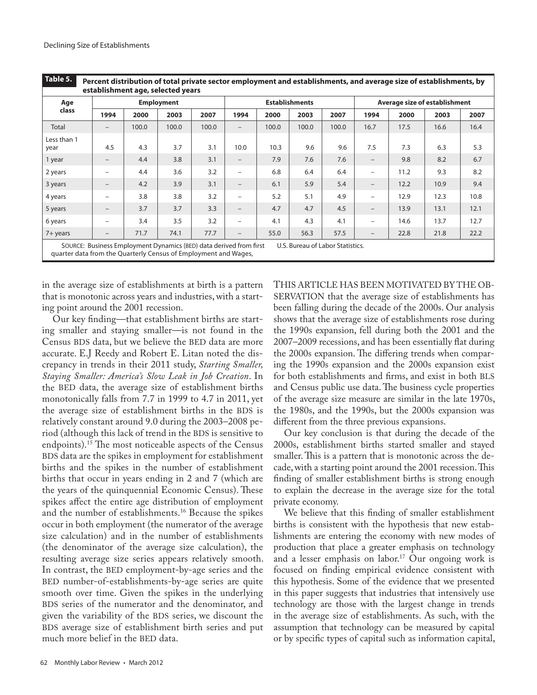| Age                 |                   |       | <b>Employment</b> |       |                          |       | <b>Establishments</b> |       | Average size of establishment |      |      |      |
|---------------------|-------------------|-------|-------------------|-------|--------------------------|-------|-----------------------|-------|-------------------------------|------|------|------|
| class               | 1994              | 2000  | 2003              | 2007  | 1994                     | 2000  | 2003                  | 2007  | 1994                          | 2000 | 2003 | 2007 |
| Total               |                   | 100.0 | 100.0             | 100.0 |                          | 100.0 | 100.0                 | 100.0 | 16.7                          | 17.5 | 16.6 | 16.4 |
| Less than 1<br>year | 4.5               | 4.3   | 3.7               | 3.1   | 10.0                     | 10.3  | 9.6                   | 9.6   | 7.5                           | 7.3  | 6.3  | 5.3  |
| 1 year              | -                 | 4.4   | 3.8               | 3.1   | $\overline{\phantom{m}}$ | 7.9   | 7.6                   | 7.6   | $\overline{\phantom{m}}$      | 9.8  | 8.2  | 6.7  |
| 2 years             | -                 | 4.4   | 3.6               | 3.2   |                          | 6.8   | 6.4                   | 6.4   | $\qquad \qquad =$             | 11.2 | 9.3  | 8.2  |
| 3 years             | $\qquad \qquad -$ | 4.2   | 3.9               | 3.1   | $\overline{\phantom{m}}$ | 6.1   | 5.9                   | 5.4   | $\overline{\phantom{m}}$      | 12.2 | 10.9 | 9.4  |
| 4 years             |                   | 3.8   | 3.8               | 3.2   |                          | 5.2   | 5.1                   | 4.9   | $\overline{\phantom{m}}$      | 12.9 | 12.3 | 10.8 |
| 5 years             | -                 | 3.7   | 3.7               | 3.3   | $\qquad \qquad -$        | 4.7   | 4.7                   | 4.5   | $\overline{\phantom{m}}$      | 13.9 | 13.1 | 12.1 |
| 6 years             |                   | 3.4   | 3.5               | 3.2   |                          | 4.1   | 4.3                   | 4.1   | $\overline{\phantom{m}}$      | 14.6 | 13.7 | 12.7 |
| $7+$ years          | -                 | 71.7  | 74.1              | 77.7  |                          | 55.0  | 56.3                  | 57.5  | $\overline{\phantom{m}}$      | 22.8 | 21.8 | 22.2 |

in the average size of establishments at birth is a pattern that is monotonic across years and industries, with a starting point around the 2001 recession.

Our key finding—that establishment births are starting smaller and staying smaller—is not found in the Census BDS data, but we believe the BED data are more accurate. E.J Reedy and Robert E. Litan noted the discrepancy in trends in their 2011 study, *Starting Smaller, Staying Smaller: America's Slow Leak in Job Creation*. In the BED data, the average size of establishment births monotonically falls from 7.7 in 1999 to 4.7 in 2011, yet the average size of establishment births in the BDS is relatively constant around 9.0 during the 2003–2008 period (although this lack of trend in the BDS is sensitive to endpoints).<sup>15</sup> The most noticeable aspects of the Census BDS data are the spikes in employment for establishment births and the spikes in the number of establishment births that occur in years ending in 2 and 7 (which are the years of the quinquennial Economic Census). These spikes affect the entire age distribution of employment and the number of establishments.<sup>16</sup> Because the spikes occur in both employment (the numerator of the average size calculation) and in the number of establishments (the denominator of the average size calculation), the resulting average size series appears relatively smooth. In contrast, the BED employment-by-age series and the BED number-of-establishments-by-age series are quite smooth over time. Given the spikes in the underlying BDS series of the numerator and the denominator, and given the variability of the BDS series, we discount the BDS average size of establishment birth series and put much more belief in the BED data.

THIS ARTICLE HAS BEEN MOTIVATED BY THE OB-SERVATION that the average size of establishments has been falling during the decade of the 2000s. Our analysis shows that the average size of establishments rose during the 1990s expansion, fell during both the 2001 and the 2007–2009 recessions, and has been essentially flat during the 2000s expansion. The differing trends when comparing the 1990s expansion and the 2000s expansion exist for both establishments and firms, and exist in both BLS and Census public use data. The business cycle properties of the average size measure are similar in the late 1970s, the 1980s, and the 1990s, but the 2000s expansion was different from the three previous expansions.

Our key conclusion is that during the decade of the 2000s, establishment births started smaller and stayed smaller. This is a pattern that is monotonic across the decade, with a starting point around the 2001 recession. This finding of smaller establishment births is strong enough to explain the decrease in the average size for the total private economy.

We believe that this finding of smaller establishment births is consistent with the hypothesis that new establishments are entering the economy with new modes of production that place a greater emphasis on technology and a lesser emphasis on labor.<sup>17</sup> Our ongoing work is focused on finding empirical evidence consistent with this hypothesis. Some of the evidence that we presented in this paper suggests that industries that intensively use technology are those with the largest change in trends in the average size of establishments. As such, with the assumption that technology can be measured by capital or by specific types of capital such as information capital,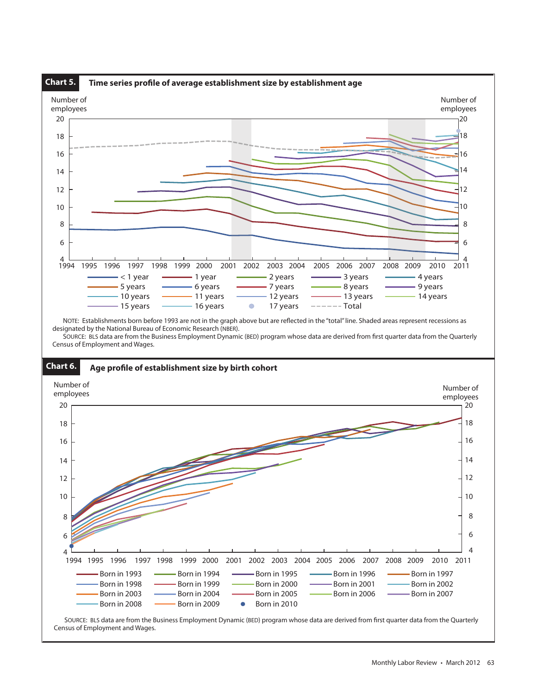

Census of Employment and Wages.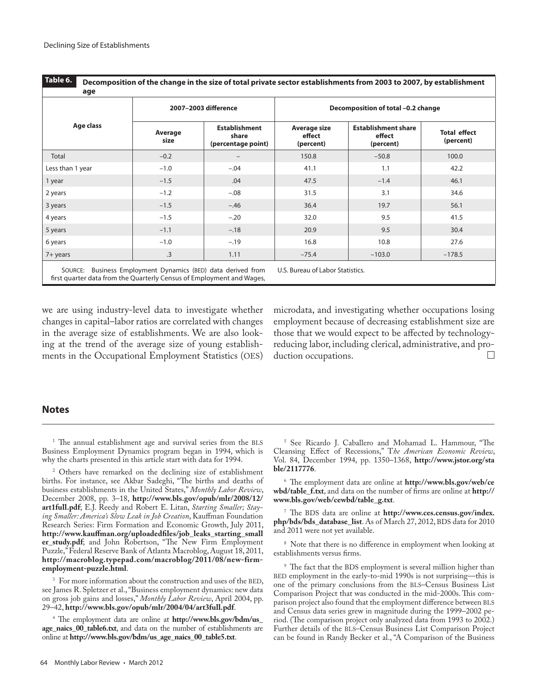|                  |                 | 2007-2003 difference                                | Decomposition of total -0.2 change  |                                                   |                                  |  |  |  |
|------------------|-----------------|-----------------------------------------------------|-------------------------------------|---------------------------------------------------|----------------------------------|--|--|--|
| Age class        | Average<br>size | <b>Establishment</b><br>share<br>(percentage point) | Average size<br>effect<br>(percent) | <b>Establishment share</b><br>effect<br>(percent) | <b>Total effect</b><br>(percent) |  |  |  |
| Total            | $-0.2$          |                                                     | 150.8                               | $-50.8$                                           | 100.0                            |  |  |  |
| Less than 1 year | $-1.0$          | $-.04$                                              | 41.1                                | 1.1                                               | 42.2                             |  |  |  |
| 1 year           | $-1.5$          | .04                                                 | 47.5                                | $-1.4$                                            | 46.1                             |  |  |  |
| 2 years          | $-1.2$          | $-.08$                                              | 31.5                                | 3.1                                               | 34.6                             |  |  |  |
| 3 years          | $-1.5$          | $-.46$                                              | 36.4                                | 19.7                                              | 56.1                             |  |  |  |
| 4 years          | $-1.5$          | $-.20$                                              | 32.0                                | 9.5                                               | 41.5                             |  |  |  |
| 5 years          | $-1.1$          | $-.18$                                              | 20.9                                | 9.5                                               | 30.4                             |  |  |  |
| 6 years          | $-1.0$          | $-.19$                                              | 16.8                                | 10.8                                              | 27.6                             |  |  |  |
| 7+ years         | .3              | 1.11                                                | $-75.4$                             | $-103.0$                                          | $-178.5$                         |  |  |  |

we are using industry-level data to investigate whether changes in capital–labor ratios are correlated with changes in the average size of establishments. We are also looking at the trend of the average size of young establishments in the Occupational Employment Statistics (OES) microdata, and investigating whether occupations losing employment because of decreasing establishment size are those that we would expect to be affected by technologyreducing labor, including clerical, administrative, and production occupations. П

## **Notes**

<sup>1</sup> The annual establishment age and survival series from the BLS Business Employment Dynamics program began in 1994, which is why the charts presented in this article start with data for 1994.

<sup>2</sup> Others have remarked on the declining size of establishment births. For instance, see Akbar Sadeghi, "The births and deaths of business establishments in the United States," *Monthly Labor Review*, December 2008, pp. 3–18, **[http://www.bls.gov/opub/mlr/2008/12/](http://www.bls.gov/opub/mlr/2008/12/art1full.pdf) [art1full.pdf](http://www.bls.gov/opub/mlr/2008/12/art1full.pdf)**; E.J. Reedy and Robert E. Litan, *Starting Smaller; Staying Smaller: America's Slow Leak in Job Creation*, Kauffman Foundation Research Series: Firm Formation and Economic Growth, July 2011, **[http://www.kauffman.org/uploadedfiles/job\\_leaks\\_starting\\_small](http://www.kauffman.org/uploadedfiles/job_leaks_starting_smaller_study.pdf) [er\\_study.pdf](http://www.kauffman.org/uploadedfiles/job_leaks_starting_smaller_study.pdf)**; and John Robertson, "The New Firm Employment Puzzle," Federal Reserve Bank of Atlanta Macroblog, August 18, 2011, **[http://macroblog.typepad.com/macroblog/2011/08/new-firm](http://macroblog.typepad.com/macroblog/2011/08/new-firm-employment-puzzle.html)[employment-puzzle.html](http://macroblog.typepad.com/macroblog/2011/08/new-firm-employment-puzzle.html)**.

For more information about the construction and uses of the BED, see James R. Spletzer et al., "Business employment dynamics: new data on gross job gains and losses," *Monthly Labor Review*, April 2004, pp. 29–42, **<http://www.bls.gov/opub/mlr/2004/04/art3full.pdf>**.

<sup>4</sup> The employment data are online at **[http://www.bls.gov/bdm/us\\_](http://www.bls.gov/bdm/us_age_naics_00_table6.txt) [age\\_naics\\_00\\_table6.txt](http://www.bls.gov/bdm/us_age_naics_00_table6.txt)**, and data on the number of establishments are online at **[http://www.bls.gov/bdm/us\\_age\\_naics\\_00\\_table5.txt](http://www.bls.gov/bdm/us_age_naics_00_table5.txt)**.

<sup>5</sup> See Ricardo J. Caballero and Mohamad L. Hammour, "The Cleansing Effect of Recessions," T*he American Economic Review*, Vol. 84, December 1994, pp. 1350–1368, **[http://www.jstor.org/sta](http://www.jstor.org/stable/2117776) [ble/2117776](http://www.jstor.org/stable/2117776)**.

<sup>6</sup> The employment data are online at **[http://www.bls.gov/web/ce](http://www.bls.gov/web/cewbd/table_f.txt)  [wbd/table\\_f.txt](http://www.bls.gov/web/cewbd/table_f.txt)**, and data on the number of firms are online at **[http://](http://www.bls.gov/web/cewbd/table_g.txt) [www.bls.gov/web/cewbd/table\\_g.txt](http://www.bls.gov/web/cewbd/table_g.txt)**.

<sup>7</sup> The BDS data are online at **[http://www.ces.census.gov/index.](http://www.ces.census.gov/index.php/bds/bds_database_list) [php/bds/bds\\_database\\_list](http://www.ces.census.gov/index.php/bds/bds_database_list)**. As of March 27, 2012, BDS data for 2010 and 2011 were not yet available.

<sup>8</sup> Note that there is no difference in employment when looking at establishments versus firms.

<sup>9</sup> The fact that the BDS employment is several million higher than BED employment in the early-to-mid 1990s is not surprising—this is one of the primary conclusions from the BLS–Census Business List Comparison Project that was conducted in the mid-2000s. This comparison project also found that the employment difference between BLS and Census data series grew in magnitude during the 1999–2002 period. (The comparison project only analyzed data from 1993 to 2002.) Further details of the BLS–Census Business List Comparison Project can be found in Randy Becker et al., "A Comparison of the Business